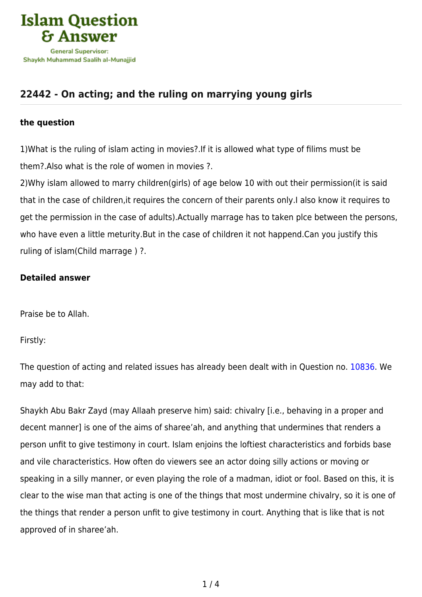

# **[22442 - On acting; and the ruling on marrying young girls](https://islamqa.com/en/answers/22442/on-acting-and-the-ruling-on-marrying-young-girls)**

### **the question**

1)What is the ruling of islam acting in movies?.If it is allowed what type of filims must be them?.Also what is the role of women in movies ?.

2)Why islam allowed to marry children(girls) of age below 10 with out their permission(it is said that in the case of children,it requires the concern of their parents only.I also know it requires to get the permission in the case of adults).Actually marrage has to taken plce between the persons, who have even a little meturity.But in the case of children it not happend.Can you justify this ruling of islam(Child marrage ) ?.

## **Detailed answer**

Praise be to Allah.

Firstly:

The question of acting and related issues has already been dealt with in Question no. [10836.](https://islamqa.com/en/answers/10836) We may add to that:

Shaykh Abu Bakr Zayd (may Allaah preserve him) said: chivalry [i.e., behaving in a proper and decent manner] is one of the aims of sharee'ah, and anything that undermines that renders a person unfit to give testimony in court. Islam enjoins the loftiest characteristics and forbids base and vile characteristics. How often do viewers see an actor doing silly actions or moving or speaking in a silly manner, or even playing the role of a madman, idiot or fool. Based on this, it is clear to the wise man that acting is one of the things that most undermine chivalry, so it is one of the things that render a person unfit to give testimony in court. Anything that is like that is not approved of in sharee'ah.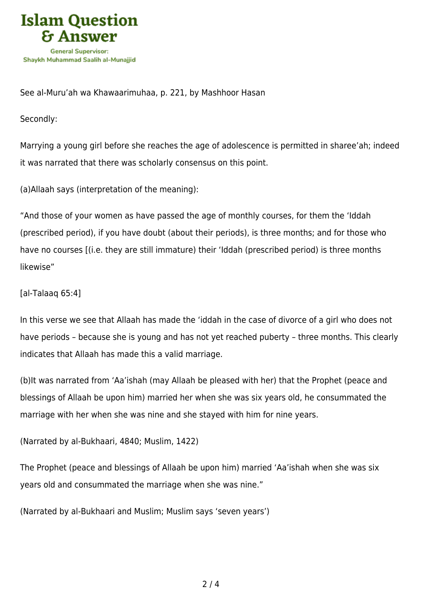

See al-Muru'ah wa Khawaarimuhaa, p. 221, by Mashhoor Hasan

Secondly:

Marrying a young girl before she reaches the age of adolescence is permitted in sharee'ah; indeed it was narrated that there was scholarly consensus on this point.

(a)Allaah says (interpretation of the meaning):

"And those of your women as have passed the age of monthly courses, for them the 'Iddah (prescribed period), if you have doubt (about their periods), is three months; and for those who have no courses [(i.e. they are still immature) their 'Iddah (prescribed period) is three months likewise"

[al-Talaaq 65:4]

In this verse we see that Allaah has made the 'iddah in the case of divorce of a girl who does not have periods – because she is young and has not yet reached puberty – three months. This clearly indicates that Allaah has made this a valid marriage.

(b)It was narrated from 'Aa'ishah (may Allaah be pleased with her) that the Prophet (peace and blessings of Allaah be upon him) married her when she was six years old, he consummated the marriage with her when she was nine and she stayed with him for nine years.

(Narrated by al-Bukhaari, 4840; Muslim, 1422)

The Prophet (peace and blessings of Allaah be upon him) married 'Aa'ishah when she was six years old and consummated the marriage when she was nine."

(Narrated by al-Bukhaari and Muslim; Muslim says 'seven years')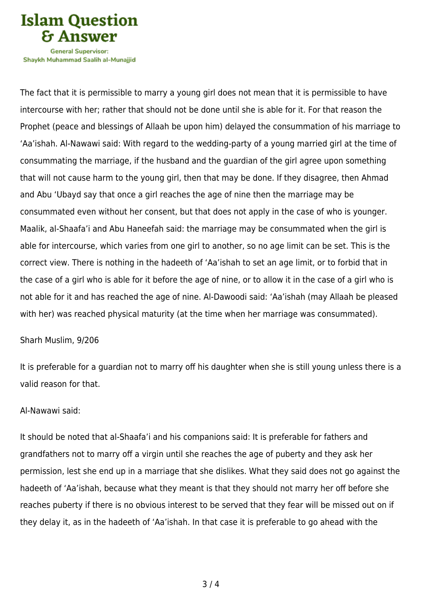

Shavkh Muhammad Saalih al-Munaiiid

The fact that it is permissible to marry a young girl does not mean that it is permissible to have intercourse with her; rather that should not be done until she is able for it. For that reason the Prophet (peace and blessings of Allaah be upon him) delayed the consummation of his marriage to 'Aa'ishah. Al-Nawawi said: With regard to the wedding-party of a young married girl at the time of consummating the marriage, if the husband and the guardian of the girl agree upon something that will not cause harm to the young girl, then that may be done. If they disagree, then Ahmad and Abu 'Ubayd say that once a girl reaches the age of nine then the marriage may be consummated even without her consent, but that does not apply in the case of who is younger. Maalik, al-Shaafa'i and Abu Haneefah said: the marriage may be consummated when the girl is able for intercourse, which varies from one girl to another, so no age limit can be set. This is the correct view. There is nothing in the hadeeth of 'Aa'ishah to set an age limit, or to forbid that in the case of a girl who is able for it before the age of nine, or to allow it in the case of a girl who is not able for it and has reached the age of nine. Al-Dawoodi said: 'Aa'ishah (may Allaah be pleased with her) was reached physical maturity (at the time when her marriage was consummated).

#### Sharh Muslim, 9/206

It is preferable for a guardian not to marry off his daughter when she is still young unless there is a valid reason for that.

#### Al-Nawawi said:

It should be noted that al-Shaafa'i and his companions said: It is preferable for fathers and grandfathers not to marry off a virgin until she reaches the age of puberty and they ask her permission, lest she end up in a marriage that she dislikes. What they said does not go against the hadeeth of 'Aa'ishah, because what they meant is that they should not marry her off before she reaches puberty if there is no obvious interest to be served that they fear will be missed out on if they delay it, as in the hadeeth of 'Aa'ishah. In that case it is preferable to go ahead with the